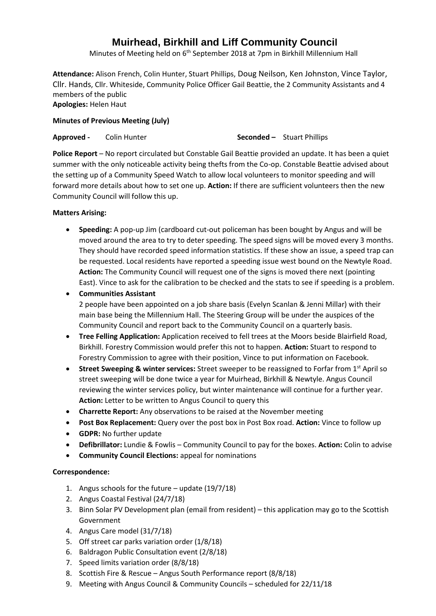# **Muirhead, Birkhill and Liff Community Council**

Minutes of Meeting held on 6<sup>th</sup> September 2018 at 7pm in Birkhill Millennium Hall

**Attendance:** Alison French, Colin Hunter, Stuart Phillips, Doug Neilson, Ken Johnston, Vince Taylor, Cllr. Hands, Cllr. Whiteside, Community Police Officer Gail Beattie, the 2 Community Assistants and 4 members of the public **Apologies:** Helen Haut

# **Minutes of Previous Meeting (July)**

**Approved -** Colin Hunter **Seconded –** Stuart Phillips

**Police Report** – No report circulated but Constable Gail Beattie provided an update. It has been a quiet summer with the only noticeable activity being thefts from the Co-op. Constable Beattie advised about the setting up of a Community Speed Watch to allow local volunteers to monitor speeding and will forward more details about how to set one up. **Action:** If there are sufficient volunteers then the new Community Council will follow this up.

## **Matters Arising:**

- **Speeding:** A pop-up Jim (cardboard cut-out policeman has been bought by Angus and will be moved around the area to try to deter speeding. The speed signs will be moved every 3 months. They should have recorded speed information statistics. If these show an issue, a speed trap can be requested. Local residents have reported a speeding issue west bound on the Newtyle Road. **Action:** The Community Council will request one of the signs is moved there next (pointing East). Vince to ask for the calibration to be checked and the stats to see if speeding is a problem.
- **Communities Assistant** 2 people have been appointed on a job share basis (Evelyn Scanlan & Jenni Millar) with their main base being the Millennium Hall. The Steering Group will be under the auspices of the Community Council and report back to the Community Council on a quarterly basis.
- **Tree Felling Application:** Application received to fell trees at the Moors beside Blairfield Road, Birkhill. Forestry Commission would prefer this not to happen. **Action:** Stuart to respond to Forestry Commission to agree with their position, Vince to put information on Facebook.
- **Street Sweeping & winter services:** Street sweeper to be reassigned to Forfar from 1<sup>st</sup> April so street sweeping will be done twice a year for Muirhead, Birkhill & Newtyle. Angus Council reviewing the winter services policy, but winter maintenance will continue for a further year. **Action:** Letter to be written to Angus Council to query this
- **Charrette Report:** Any observations to be raised at the November meeting
- **Post Box Replacement:** Query over the post box in Post Box road. **Action:** Vince to follow up
- **GDPR:** No further update
- **Defibrillator:** Lundie & Fowlis Community Council to pay for the boxes. **Action:** Colin to advise
- **Community Council Elections:** appeal for nominations

# **Correspondence:**

- 1. Angus schools for the future update (19/7/18)
- 2. Angus Coastal Festival (24/7/18)
- 3. Binn Solar PV Development plan (email from resident) this application may go to the Scottish Government
- 4. Angus Care model (31/7/18)
- 5. Off street car parks variation order (1/8/18)
- 6. Baldragon Public Consultation event (2/8/18)
- 7. Speed limits variation order (8/8/18)
- 8. Scottish Fire & Rescue Angus South Performance report (8/8/18)
- 9. Meeting with Angus Council & Community Councils scheduled for 22/11/18